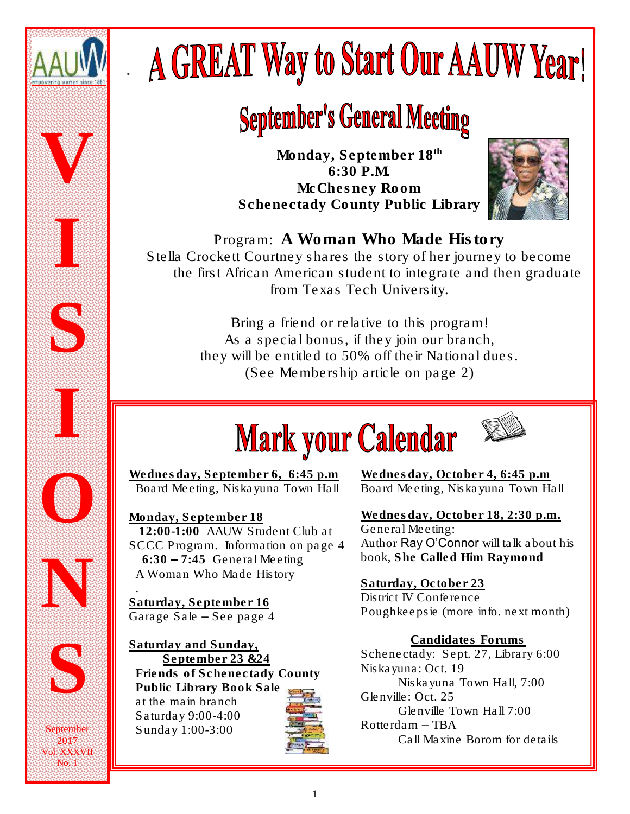

*.*

# **A GREAT Way to Start Our AAUW Year!**

# **September's General Meeting**

*Monday, September 18th 6:30 P.M. McChesney Room Schenectady County Public Library*



Program: A Woman Who Made History Stella Crockett Courtney shares the story of her journey to become the first African American student to integrate and then graduate from Texas Tech University.

> *Bring a friend or relative to this program! As a special bonus, if they join our branch, they will be entitled to 50% off their National dues. (See Membership article on page 2)*

# **Mark your Calendar**



Wednesday, September 6, 6:45 p.m Board Meeting, Niskayuna Town Hall

Monday, September 18 12:00-1:00 AAUW Student Club at SCCC Program. Information on page 4  $6:30 - 7:45$  General Meeting *A Woman Who Made History*

 . Saturday, September 16 Garage Sale – See page 4

Ξ

No. 1

Saturday and Sunday, September 23 &24 Friends of Schenectady County Public Library Book Sale at the main branch Saturday 9:00-4:00 Sunday 1:00-3:00



Wednesday, October 4, 6:45 p.m Board Meeting, Niskayuna Town Hall

Wednesday, October 18, 2:30 p.m. General Meeting: Author Ray O'Connor will talk about his book, *She Called Him Raymond*

Saturday, October 23 District IV Conference Poughkeepsie (more info. next month)

Candidates Forums Schenectady: Sept. 27, Library 6:00 Niskayuna: Oct. 19 Niskayuna Town Hall, 7:00 Glenville: Oct. 25 Glenville Town Hall 7:00 Rotterdam – TBA Call Maxine Borom for details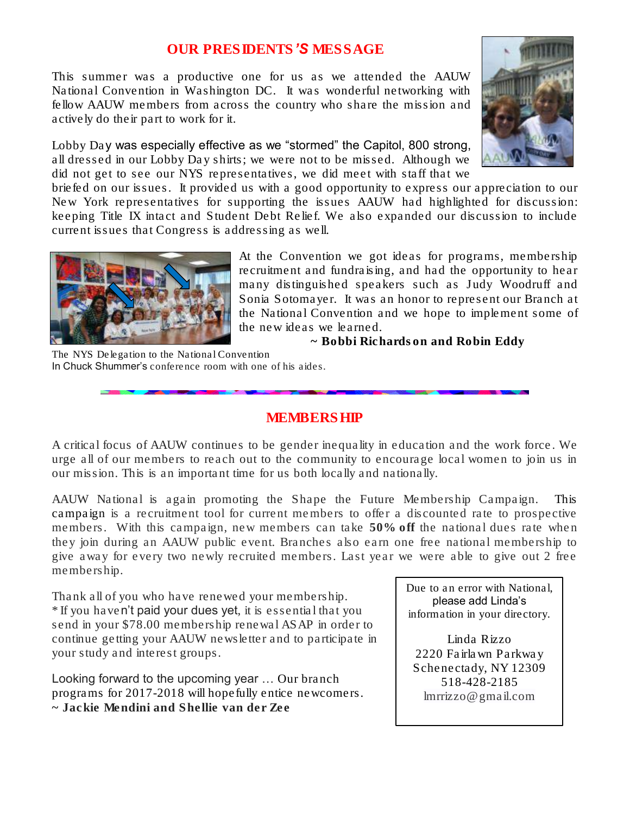## *OUR PRESIDENTS'S MESSAGE*

This summer was a productive one for us as we attended the AAUW National Convention in Washington DC. It was wonderful networking with fellow AAUW members from across the country who share the mission and actively do their part to work for it.

Lobby Day was especially effective as we "stormed" the Capitol, 800 strong, all dressed in our Lobby Day shirts; we were not to be missed. Although we did not get to see our NYS representatives, we did meet with staff that we

briefed on our issues. It provided us with a good opportunity to express our appreciation to our New York representatives for supporting the issues AAUW had highlighted for discussion: keeping Title IX intact and Student Debt Relief. We also expanded our discussion to include current issues that Congress is addressing as well.



At the Convention we got ideas for programs, membership recruitment and fundraising, and had the opportunity to hear many distinguished speakers such as Judy Woodruff and Sonia Sotomayer. It was an honor to represent our Branch at the National Convention and we hope to implement some of the new ideas we learned.

*~ Bobbi Richardson and Robin Eddy*

The NYS Delegation to the National Convention In Chuck Shummer's conference room with one of his aides.

## *MEMBERSHIP*

A critical focus of AAUW continues to be gender inequality in education and the work force. We urge all of our members to reach out to the community to encourage local women to join us in our mission. This is an important time for us both locally and nationally.

AAUW National is again promoting the Shape the Future Membership Campaign. This campaign is a recruitment tool for current members to offer a discounted rate to prospective members. With this campaign, new members can take 50% off the national dues rate when they join during an AAUW public event. Branches also earn one free national membership to give away for every two newly recruited members. Last year we were able to give out 2 free membership.

Thank all of you who have renewed your membership. \* If you haven't paid your dues yet, it is essential that you send in your \$78.00 membership renewal ASAP in order to continue getting your AAUW newsletter and to participate in your study and interest groups.

Looking forward to the upcoming year … Our branch programs for 2017-2018 will hopefully entice newcomers. *~ Jackie Mendini and Shellie van der Zee*

Due to an error with National, please add Linda's information in your directory.

Linda Rizzo 2220 Fairlawn Parkway Schenectady, NY 12309 518-428-2185 lmrrizzo@gmail.com

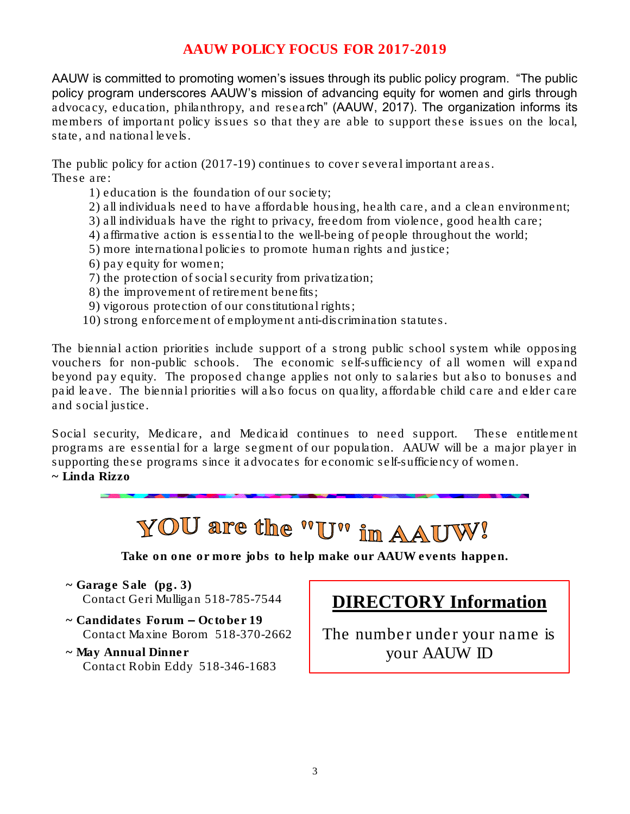# *AAUW POLICY FOCUS FOR 2017-2019*

AAUW is committed to promoting women's issues through its public policy program. "The public policy program underscores AAUW's mission of advancing equity for women and girls through advocacy, education, philanthropy, and research" (AAUW, 2017). The organization informs its members of important policy issues so that they are able to support these issues on the local, state, and national levels.

The public policy for action (2017-19) continues to cover several important areas. These are:

- 1) education is the foundation of our society;
- 2) all individuals need to have affordable housing, health care, and a clean environment;
- 3) all individuals have the right to privacy, freedom from violence, good health care;
- 4) affirmative action is essential to the well-being of people throughout the world;
- 5) more international policies to promote human rights and justice;
- 6) pay equity for women;
- 7) the protection of social security from privatization;
- 8) the improvement of retirement benefits;
- 9) vigorous protection of our constitutional rights;
- 10) strong enforcement of employment anti-discrimination statutes.

The biennial action priorities include support of a strong public school system while opposing vouchers for non-public schools. The economic self-sufficiency of all women will expand beyond pay equity. The proposed change applies not only to salaries but also to bonuses and paid leave. The biennial priorities will also focus on quality, affordable child care and elder care and social justice.

Social security, Medicare, and Medicaid continues to need support. These entitlement programs are essential for a large segment of our population. AAUW will be a major player in supporting these programs since it advocates for economic self-sufficiency of women. *~ Linda Rizzo* 

YOU are the "U" in AAUW!

*Take on one or more jobs to help* make our AAUW events happen.

- *~ Garage Sale (pg. 3)* Contact Geri Mulligan 518-785-7544
- *~ Candidates Forum – October 19* Contact Maxine Borom 518-370-2662
- *~ May Annual Dinner* Contact Robin Eddy 518-346-1683

# **DIRECTORY Information**

The number under your name is your AAUW ID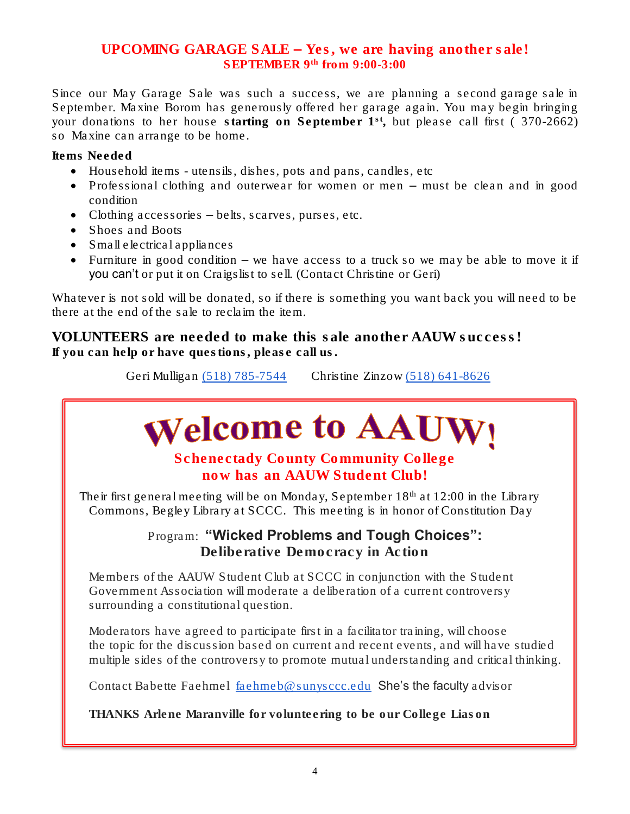## *UPCOMING GARAGE SALE – Yes, we are having another sale! SEPTEMBER 9th from 9:00-3:00*

Since our May Garage Sale was such a success, we are planning a second garage sale in September. Maxine Borom has generously offered her garage again. You may begin bringing your donations to her house starting on September 1<sup>st</sup>, but please call first (370-2662) so Maxine can arrange to be home.

Items Needed

- Household items utensils, dishes, pots and pans, candles, etc
- Professional clothing and outerwear for women or men must be clean and in good condition
- Clothing accessories belts, scarves, purses, etc.
- Shoes and Boots
- Small electrical appliances
- Furniture in good condition we have access to a truck so we may be able to move it if you can't or put it on Craigslist to sell. (Contact Christine or Geri)

Whatever is not sold will be donated, so if there is something you want back you will need to be there at the end of the sale to reclaim the item.

VOLUNTEERS are needed to make this sale another AAUW success! If you can help or have questions, please call us.

Geri Mulligan [\(518\) 785-7544](tel:(518)%20785-7544) Christine Zinzow (518) [641-8626](tel:(518)%20641-8626)

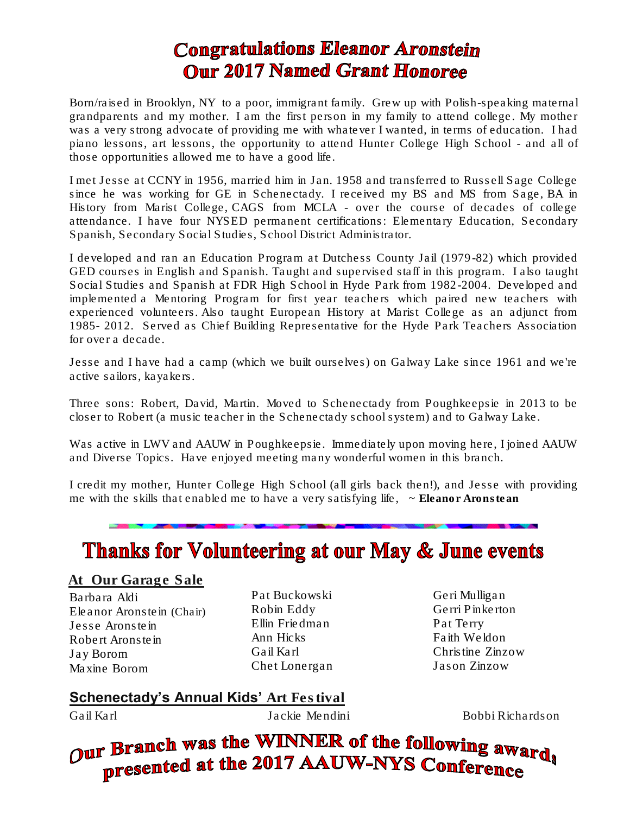# **Congratulations Eleanor Aronstein Our 2017 Named Grant Honoree**

Born/raised in Brooklyn, NY to a poor, immigrant family. Grew up with Polish-speaking maternal grandparents and my mother. I am the first person in my family to attend college. My mother was a very strong advocate of providing me with whatever I wanted, in terms of education. I had piano lessons, art lessons, the opportunity to attend Hunter College High School - and all of those opportunities allowed me to have a good life.

I met Jesse at CCNY in 1956, married him in Jan. 1958 and transferred to Russell Sage College since he was working for GE in Schenectady. I received my BS and MS from Sage, BA in History from Marist College, CAGS from MCLA - over the course of decades of college attendance. I have four NYSED permanent certifications: Elementary Education, Secondary Spanish, Secondary Social Studies, School District Administrator.

I developed and ran an Education Program at Dutchess County Jail (1979-82) which provided GED courses in English and Spanish. Taught and supervised staff in this program. I also taught Social Studies and Spanish at FDR High School in Hyde Park from 1982-2004. Developed and implemented a Mentoring Program for first year teachers which paired new teachers with experienced volunteers. Also taught European History at Marist College as an adjunct from 1985- 2012. Served as Chief Building Representative for the Hyde Park Teachers Association for over a decade.

Jesse and I have had a camp (which we built ourselves) on Galway Lake since 1961 and we're active sailors, kayakers.

Three sons: Robert, David, Martin. Moved to Schenectady from Poughkeepsie in 2013 to be closer to Robert (a music teacher in the Schenectady school system) and to Galway Lake.

Was active in LWV and AAUW in Poughkeepsie. Immediately upon moving here, I joined AAUW and Diverse Topics. Have enjoyed meeting many wonderful women in this branch.

I credit my mother, Hunter College High School (all girls back then!), and Jesse with providing me with the skills that enabled me to have a very satisfying life, ~ *Eleanor Aronstean*

# **Thanks for Volunteering at our May & June events**

At Our Garage Sale

Barbara Aldi Eleanor Aronstein (Chair) Jesse Aronstein Robert Aronstein Jay Borom Maxine Borom

Pat Buckowski Robin Eddy Ellin Friedman Ann Hicks Gail Karl Chet Lonergan

Geri Mulligan Gerri Pinkerton Pat Terry Faith Weldon Christine Zinzow Jason Zinzow

# **Schenectady's Annual Kids' Art Festival**

Gail Karl Jackie Mendini Bobbi Richardson

Our Branch was the WINNER of the following awards presented at the 2017 AAUW-NYS Conference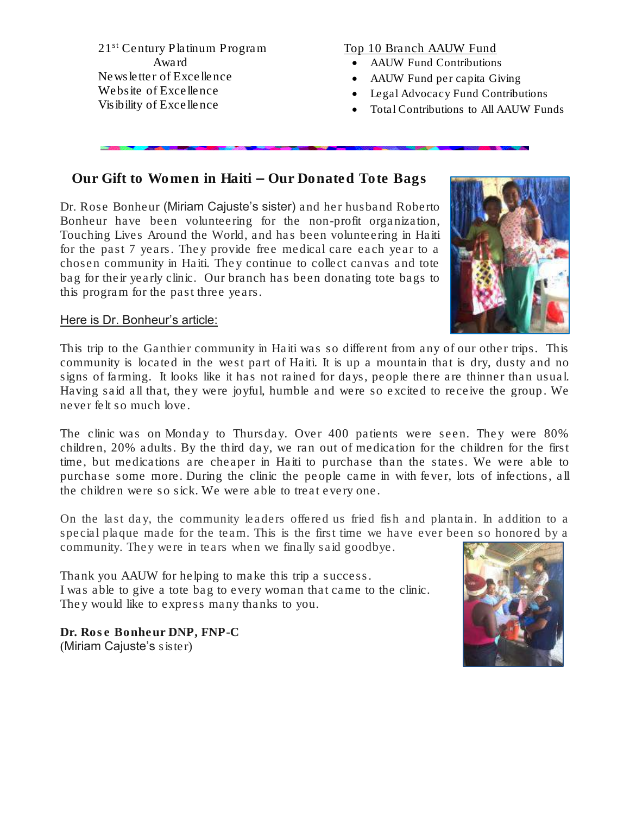21st Century Platinum Program Award Newsletter of Excellence Website of Excellence Visibility of Excellence

#### Top 10 Branch AAUW Fund

- AAUW Fund Contributions
- AAUW Fund per capita Giving
- Legal Advocacy Fund Contributions
- Total Contributions to All AAUW Funds

# Our Gift to Women in Haiti – Our Donated Tote Bags

Dr. Rose Bonheur (Miriam Cajuste's sister) and her husband Roberto Bonheur have been volunteering for the non-profit organization, Touching Lives Around the World, and has been volunteering in Haiti for the past 7 years. They provide free medical care each year to a chosen community in Haiti. They continue to collect canvas and tote bag for their yearly clinic. Our branch has been donating tote bags to this program for the past three years.



#### Here is Dr. Bonheur's article:

This trip to the Ganthier community in Haiti was so different from any of our other trips. This community is located in the west part of Haiti. It is up a mountain that is dry, dusty and no signs of farming. It looks like it has not rained for days, people there are thinner than usual. Having said all that, they were joyful, humble and were so excited to receive the group. We never felt so much love.

The clinic was on Monday to Thursday. Over 400 patients were seen. They were 80% children, 20% adults. By the third day, we ran out of medication for the children for the first time, but medications are cheaper in Haiti to purchase than the states. We were able to purchase some more. During the clinic the people came in with fever, lots of infections, all the children were so sick. We were able to treat every one.

On the last day, the community leaders offered us fried fish and plantain. In addition to a special plaque made for the team. This is the first time we have ever been so honored by a community. They were in tears when we finally said goodbye.

Thank you AAUW for helping to make this trip a success. I was able to give a tote bag to every woman that came to the clinic. They would like to express many thanks to you.

*Dr. Rose Bonheur DNP, FNP-C* (Miriam Cajuste's sister)

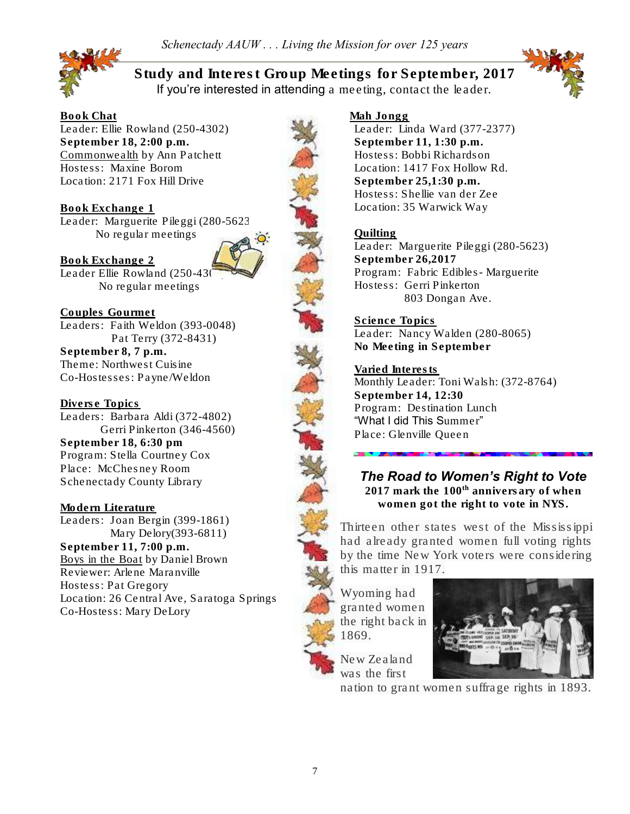

*Study and Interest Group Meetings for September, 2017* If you're interested in attending a meeting, contact the leader.



Book Chat Leader: Ellie Rowland (250-4302) September 18, 2:00 p.m. Commonwealth by Ann Patchett Hostess: Maxine Borom Location: 2171 Fox Hill Drive

Book Exchange 1 Leader: Marguerite Pileggi (280-5623) No regular meetings



Book Exchange 2 Leader Ellie Rowland (250-430 No regular meetings

Couples Gourmet Leaders: Faith Weldon (393-0048) Pat Terry (372-8431) September 8, 7 p.m. Theme: Northwest Cuisine Co-Hostesses: Payne/Weldon

Diverse Topics Leaders: Barbara Aldi (372-4802) Gerri Pinkerton (346-4560) September 18, 6:30 pm Program: Stella Courtney Cox Place: McChesney Room Schenectady County Library

Modern Literature Leaders: Joan Bergin (399-1861) Mary Delory(393-6811) September 11, 7:00 p.m. Boys in the Boat by Daniel Brown Reviewer: Arlene Maranville Hostess: Pat Gregory Location: 26 Central Ave, Saratoga Springs Co-Hostess: Mary DeLory

#### Mah Jongg

Leader: Linda Ward (377-2377) September 11, 1:30 p.m. Hostess: Bobbi Richardson Location: 1417 Fox Hollow Rd. September 25,1:30 p.m. Hostess: Shellie van der Zee Location: 35 Warwick Way

#### Quilting

Leader: Marguerite Pileggi (280-5623) September 26,2017 Program: Fabric Edibles- Marguerite Hostess: Gerri Pinkerton 803 Dongan Ave.

Science Topics Leader: Nancy Walden (280-8065) No Meeting in September

Varied Interests Monthly Leader: Toni Walsh: (372-8764) September 14, 12:30 Program: Destination Lunch "What I did This Summer" Place: Glenville Queen

# *The Road to Women's Right to Vote*

 $2017$  mark the  $100<sup>th</sup>$  annivers ary of when women got the right to vote in NYS.

Thirteen other states west of the Mississippi had already granted women full voting rights by the time New York voters were considering this matter in 1917.

Wyoming had granted women the right back in 1869.



New Zealand was the first

nation to grant women suffrage rights in 1893.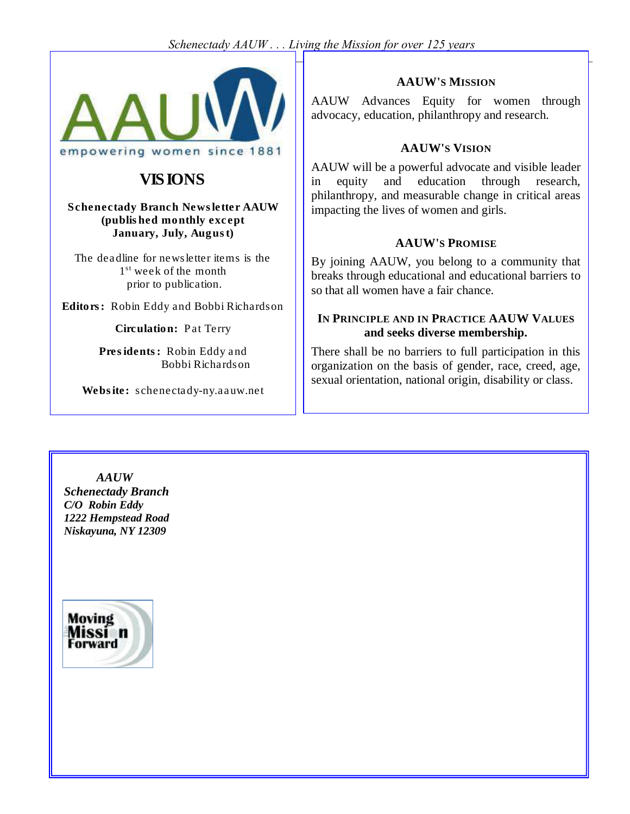### *Schenectady AAUW . . . Living the Mission for over 125 years*

8



# VISIONS

Schenectady Branch Newsletter AAUW (published monthly except January, July, August)

The deadline for newsletter items is the 1<sup>st</sup> week of the month prior to publication.

Editors: Robin Eddy and Bobbi Richardson

Circulation: Pat Terry

Presidents: Robin Eddy and Bobbi Richardson

Website: schenectady-ny.aauw.net

### **AAUW'S MISSION**

AAUW Advances Equity for women through advocacy, education, philanthropy and research.

### **AAUW'S VISION**

AAUW will be a powerful advocate and visible leader in equity and education through research, philanthropy, and measurable change in critical areas impacting the lives of women and girls.

#### **AAUW'S PROMISE**

By joining AAUW, you belong to a community that breaks through educational and educational barriers to so that all women have a fair chance.

### **IN PRINCIPLE AND IN PRACTICE AAUW VALUES and seeks diverse membership.**

There shall be no barriers to full participation in this organization on the basis of gender, race, creed, age, sexual orientation, national origin, disability or class.

*AAUW Schenectady Branch C/O Robin Eddy 1222 Hempstead Road Niskayuna, NY 12309*